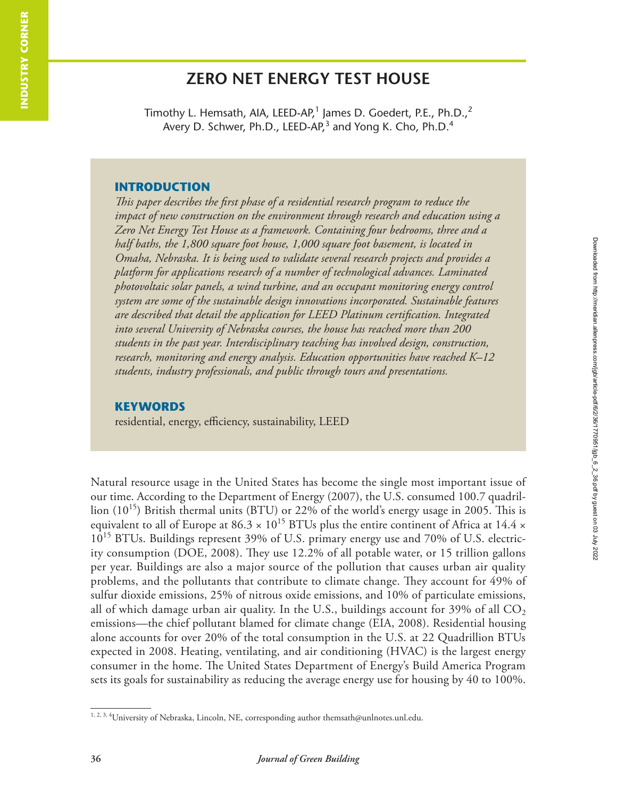# **ZERO NET ENERGY TEST HOUSE**

Timothy L. Hemsath, AIA, LEED-AP,<sup>1</sup> James D. Goedert, P.E., Ph.D.,<sup>2</sup> Avery D. Schwer, Ph.D., LEED-AP, $^3$  and Yong K. Cho, Ph.D. $^4$ 

#### **INTRODUCTION**

*This paper describes the first phase of a residential research program to reduce the impact of new construction on the environment through research and education using a Zero Net Energy Test House as a framework. Containing four bedrooms, three and a half baths, the 1,800 square foot house, 1,000 square foot basement, is located in Omaha, Nebraska. It is being used to validate several research projects and provides a platform for applications research of a number of technological advances. Laminated photovoltaic solar panels, a wind turbine, and an occupant monitoring energy control system are some of the sustainable design innovations incorporated. Sustainable features are described that detail the application for LEED Platinum certification. Integrated into several University of Nebraska courses, the house has reached more than 200 students in the past year. Interdisciplinary teaching has involved design, construction, research, monitoring and energy analysis. Education opportunities have reached K–12 students, industry professionals, and public through tours and presentations.* 

### **KEYWORDS**

residential, energy, efficiency, sustainability, LEED

Natural resource usage in the United States has become the single most important issue of our time. According to the Department of Energy (2007), the U.S. consumed 100.7 quadril lion  $(10^{15})$  British thermal units (BTU) or 22% of the world's energy usage in 2005. This is equivalent to all of Europe at 86.3  $\times$  10<sup>15</sup> BTUs plus the entire continent of Africa at 14.4  $\times$ 10<sup>15</sup> BTUs. Buildings represent 39% of U.S. primary energy use and 70% of U.S. electricity consumption (DOE, 2008). They use 12.2% of all potable water, or 15 trillion gallons per year. Buildings are also a major source of the pollution that causes urban air quality problems, and the pollutants that contribute to climate change. They account for 49% of sulfur dioxide emissions, 25% of nitrous oxide emissions, and 10% of particulate emissions, all of which damage urban air quality. In the U.S., buildings account for 39% of all  $\mathrm{CO}_2$ emissions—the chief pollutant blamed for climate change (EIA, 2008). Residential housing alone accounts for over 20% of the total consumption in the U.S. at 22 Quadrillion BTUs expected in 2008. Heating, ventilating, and air conditioning (HVAC) is the largest energy consumer in the home. The United States Department of Energy's Build America Program sets its goals for sustainability as reducing the average energy use for housing by 40 to 100%.

<sup>1, 2, 3, 4</sup>University of Nebraska, Lincoln, NE, corresponding author themsath@unlnotes.unl.edu.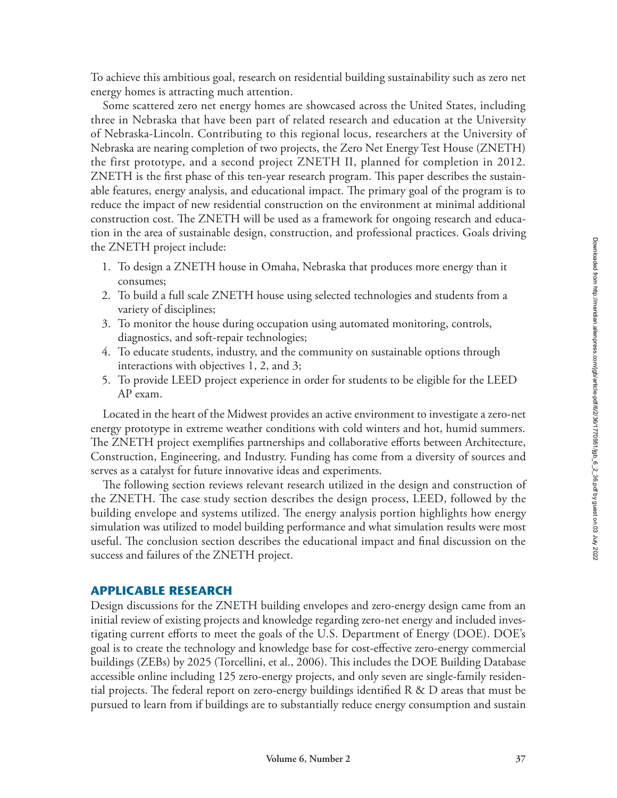To achieve this ambitious goal, research on residential building sustainability such as zero net energy homes is attracting much attention.

Some scattered zero net energy homes are showcased across the United States, including three in Nebraska that have been part of related research and education at the University of Nebraska-Lincoln. Contributing to this regional locus, researchers at the University of Nebraska are nearing completion of two projects, the Zero Net Energy Test House (ZNETH) the first prototype, and a second project ZNETH II, planned for completion in 2012. ZNETH is the first phase of this ten-year research program. This paper describes the sustainable features, energy analysis, and educational impact. The primary goal of the program is to reduce the impact of new residential construction on the environment at minimal additional construction cost. The ZNETH will be used as a framework for ongoing research and education in the area of sustainable design, construction, and professional practices. Goals driving the ZNETH project include:

- 1. To design a ZNETH house in Omaha, Nebraska that produces more energy than it consumes;
- 2. To build a full scale ZNETH house using selected technologies and students from a variety of disciplines;
- 3. To monitor the house during occupation using automated monitoring, controls, diagnostics, and soft-repair technologies;
- 4. To educate students, industry, and the community on sustainable options through interactions with objectives 1, 2, and 3;
- 5. To provide LEED project experience in order for students to be eligible for the LEED AP exam.

Located in the heart of the Midwest provides an active environment to investigate a zero-net energy prototype in extreme weather conditions with cold winters and hot, humid summers. The ZNETH project exemplifies partnerships and collaborative efforts between Architecture, Construction, Engineering, and Industry. Funding has come from a diversity of sources and serves as a catalyst for future innovative ideas and experiments.

The following section reviews relevant research utilized in the design and construction of the ZNETH. The case study section describes the design process, LEED, followed by the building envelope and systems utilized. The energy analysis portion highlights how energy simulation was utilized to model building performance and what simulation results were most useful. The conclusion section describes the educational impact and final discussion on the success and failures of the ZNETH project.

### **APPLICABLE RESEARCH**

Design discussions for the ZNETH building envelopes and zero-energy design came from an initial review of existing projects and knowledge regarding zero-net energy and included investigating current efforts to meet the goals of the U.S. Department of Energy (DOE). DOE's goal is to create the technology and knowledge base for cost-effective zero-energy commercial buildings (ZEBs) by 2025 (Torcellini, et al., 2006). This includes the DOE Building Database accessible online including 125 zero-energy projects, and only seven are single-family residential projects. The federal report on zero-energy buildings identified R & D areas that must be pursued to learn from if buildings are to substantially reduce energy consumption and sustain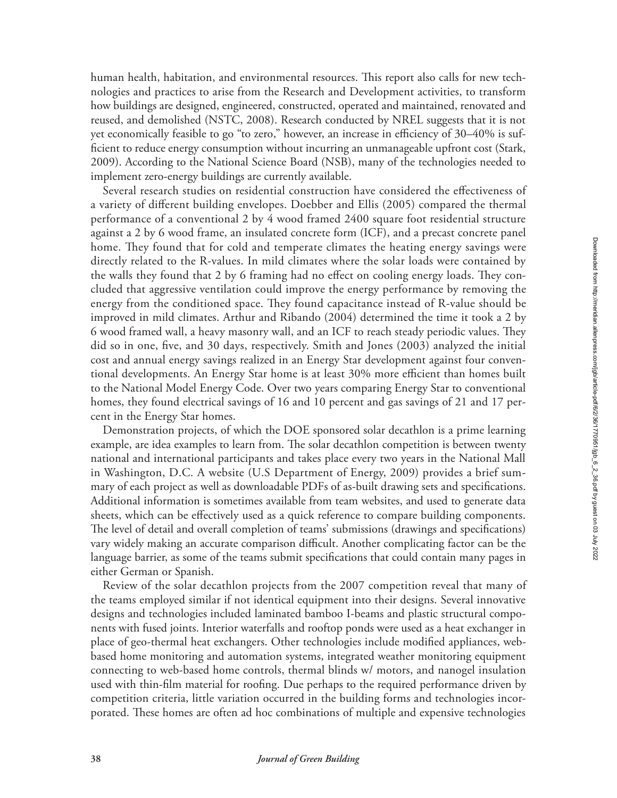human health, habitation, and environmental resources. This report also calls for new technologies and practices to arise from the Research and Development activities, to transform how buildings are designed, engineered, constructed, operated and maintained, renovated and reused, and demolished (NSTC, 2008). Research conducted by NREL suggests that it is not yet economically feasible to go "to zero," however, an increase in efficiency of 30–40% is sufficient to reduce energy consumption without incurring an unmanageable upfront cost (Stark, 2009). According to the National Science Board (NSB), many of the technologies needed to implement zero-energy buildings are currently available.

Several research studies on residential construction have considered the effectiveness of a variety of different building envelopes. Doebber and Ellis (2005) compared the thermal performance of a conventional 2 by 4 wood framed 2400 square foot residential structure against a 2 by 6 wood frame, an insulated concrete form (ICF), and a precast concrete panel home. They found that for cold and temperate climates the heating energy savings were directly related to the R-values. In mild climates where the solar loads were contained by the walls they found that 2 by 6 framing had no effect on cooling energy loads. They concluded that aggressive ventilation could improve the energy performance by removing the energy from the conditioned space. They found capacitance instead of R-value should be improved in mild climates. Arthur and Ribando (2004) determined the time it took a 2 by 6 wood framed wall, a heavy masonry wall, and an ICF to reach steady periodic values. They did so in one, five, and 30 days, respectively. Smith and Jones (2003) analyzed the initial cost and annual energy savings realized in an Energy Star development against four conventional developments. An Energy Star home is at least 30% more efficient than homes built to the National Model Energy Code. Over two years comparing Energy Star to conventional homes, they found electrical savings of 16 and 10 percent and gas savings of 21 and 17 percent in the Energy Star homes.

Demonstration projects, of which the DOE sponsored solar decathlon is a prime learning example, are idea examples to learn from. The solar decathlon competition is between twenty national and international participants and takes place every two years in the National Mall in Washington, D.C. A website (U.S Department of Energy, 2009) provides a brief summary of each project as well as downloadable PDFs of as-built drawing sets and specifications. Additional information is sometimes available from team websites, and used to generate data sheets, which can be effectively used as a quick reference to compare building components. The level of detail and overall completion of teams' submissions (drawings and specifications) vary widely making an accurate comparison difficult. Another complicating factor can be the language barrier, as some of the teams submit specifications that could contain many pages in either German or Spanish.

Review of the solar decathlon projects from the 2007 competition reveal that many of the teams employed similar if not identical equipment into their designs. Several innovative designs and technologies included laminated bamboo I-beams and plastic structural components with fused joints. Interior waterfalls and rooftop ponds were used as a heat exchanger in place of geo-thermal heat exchangers. Other technologies include modified appliances, webbased home monitoring and automation systems, integrated weather monitoring equipment connecting to web-based home controls, thermal blinds w/ motors, and nanogel insulation used with thin-film material for roofing. Due perhaps to the required performance driven by competition criteria, little variation occurred in the building forms and technologies incorporated. These homes are often ad hoc combinations of multiple and expensive technologies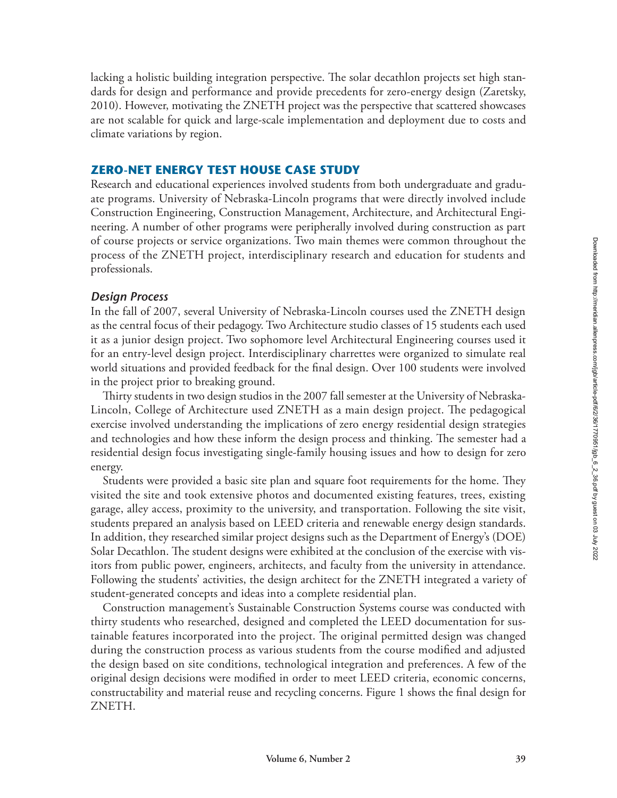lacking a holistic building integration perspective. The solar decathlon projects set high standards for design and performance and provide precedents for zero-energy design (Zaretsky, 2010). However, motivating the ZNETH project was the perspective that scattered showcases are not scalable for quick and large-scale implementation and deployment due to costs and climate variations by region.

### **ZERO-NET ENERGY TEST HOUSE CASE STUDY**

Research and educational experiences involved students from both undergraduate and graduate programs. University of Nebraska-Lincoln programs that were directly involved include Construction Engineering, Construction Management, Architecture, and Architectural Engineering. A number of other programs were peripherally involved during construction as part of course projects or service organizations. Two main themes were common throughout the process of the ZNETH project, interdisciplinary research and education for students and professionals.

### *Design Process*

In the fall of 2007, several University of Nebraska-Lincoln courses used the ZNETH design as the central focus of their pedagogy. Two Architecture studio classes of 15 students each used it as a junior design project. Two sophomore level Architectural Engineering courses used it for an entry-level design project. Interdisciplinary charrettes were organized to simulate real world situations and provided feedback for the final design. Over 100 students were involved in the project prior to breaking ground.

Thirty students in two design studios in the 2007 fall semester at the University of Nebraska-Lincoln, College of Architecture used ZNETH as a main design project. The pedagogical exercise involved understanding the implications of zero energy residential design strategies and technologies and how these inform the design process and thinking. The semester had a residential design focus investigating single-family housing issues and how to design for zero energy.

Students were provided a basic site plan and square foot requirements for the home. They visited the site and took extensive photos and documented existing features, trees, existing garage, alley access, proximity to the university, and transportation. Following the site visit, students prepared an analysis based on LEED criteria and renewable energy design standards. In addition, they researched similar project designs such as the Department of Energy's (DOE) Solar Decathlon. The student designs were exhibited at the conclusion of the exercise with visitors from public power, engineers, architects, and faculty from the university in attendance. Following the students' activities, the design architect for the ZNETH integrated a variety of student-generated concepts and ideas into a complete residential plan.

Construction management's Sustainable Construction Systems course was conducted with thirty students who researched, designed and completed the LEED documentation for sustainable features incorporated into the project. The original permitted design was changed during the construction process as various students from the course modified and adjusted the design based on site conditions, technological integration and preferences. A few of the original design decisions were modified in order to meet LEED criteria, economic concerns, constructability and material reuse and recycling concerns. Figure 1 shows the final design for ZNETH.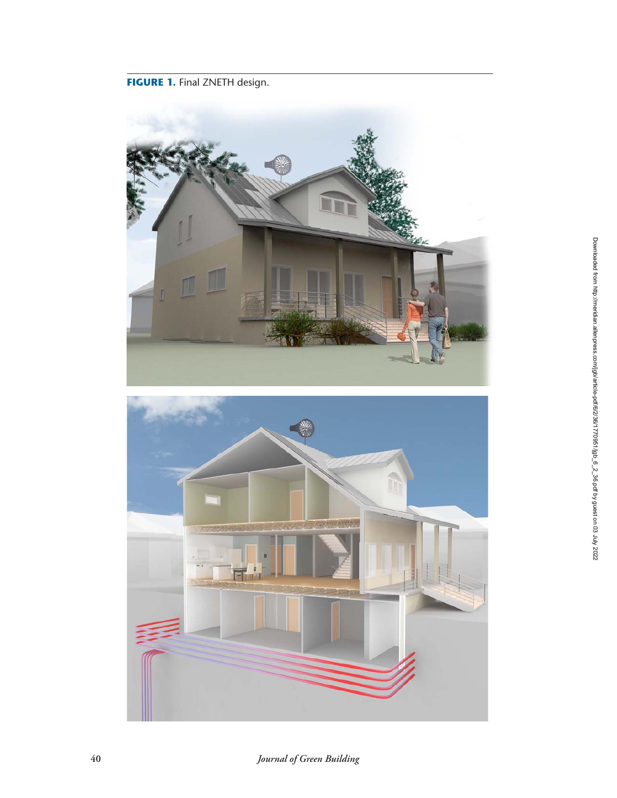## **FIGURE 1. Final ZNETH design.**



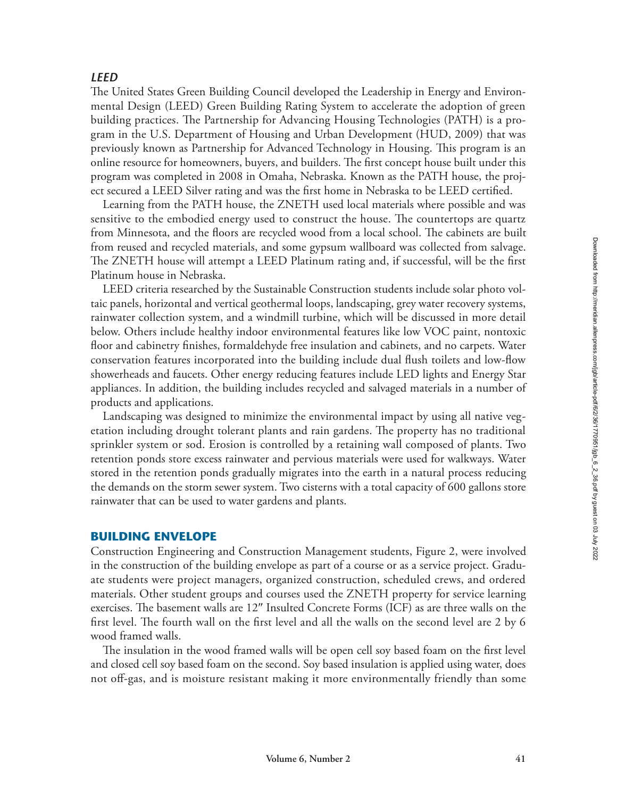## *LEED*

The United States Green Building Council developed the Leadership in Energy and Environmental Design (LEED) Green Building Rating System to accelerate the adoption of green building practices. The Partnership for Advancing Housing Technologies (PATH) is a program in the U.S. Department of Housing and Urban Development (HUD, 2009) that was previously known as Partnership for Advanced Technology in Housing. This program is an online resource for homeowners, buyers, and builders. The first concept house built under this program was completed in 2008 in Omaha, Nebraska. Known as the PATH house, the project secured a LEED Silver rating and was the first home in Nebraska to be LEED certified.

Learning from the PATH house, the ZNETH used local materials where possible and was sensitive to the embodied energy used to construct the house. The countertops are quartz from Minnesota, and the floors are recycled wood from a local school. The cabinets are built from reused and recycled materials, and some gypsum wallboard was collected from salvage. The ZNETH house will attempt a LEED Platinum rating and, if successful, will be the first Platinum house in Nebraska.

LEED criteria researched by the Sustainable Construction students include solar photo voltaic panels, horizontal and vertical geothermal loops, landscaping, grey water recovery systems, rainwater collection system, and a windmill turbine, which will be discussed in more detail below. Others include healthy indoor environmental features like low VOC paint, nontoxic floor and cabinetry finishes, formaldehyde free insulation and cabinets, and no carpets. Water conservation features incorporated into the building include dual flush toilets and low-flow showerheads and faucets. Other energy reducing features include LED lights and Energy Star appliances. In addition, the building includes recycled and salvaged materials in a number of products and applications.

Landscaping was designed to minimize the environmental impact by using all native vegetation including drought tolerant plants and rain gardens. The property has no traditional sprinkler system or sod. Erosion is controlled by a retaining wall composed of plants. Two retention ponds store excess rainwater and pervious materials were used for walkways. Water stored in the retention ponds gradually migrates into the earth in a natural process reducing the demands on the storm sewer system. Two cisterns with a total capacity of 600 gallons store rainwater that can be used to water gardens and plants.

## **BUILDING ENVELOPE**

Construction Engineering and Construction Management students, Figure 2, were involved in the construction of the building envelope as part of a course or as a service project. Graduate students were project managers, organized construction, scheduled crews, and ordered materials. Other student groups and courses used the ZNETH property for service learning exercises. The basement walls are 12″ Insulted Concrete Forms (ICF) as are three walls on the first level. The fourth wall on the first level and all the walls on the second level are 2 by 6 wood framed walls.

The insulation in the wood framed walls will be open cell soy based foam on the first level and closed cell soy based foam on the second. Soy based insulation is applied using water, does not off-gas, and is moisture resistant making it more environmentally friendly than some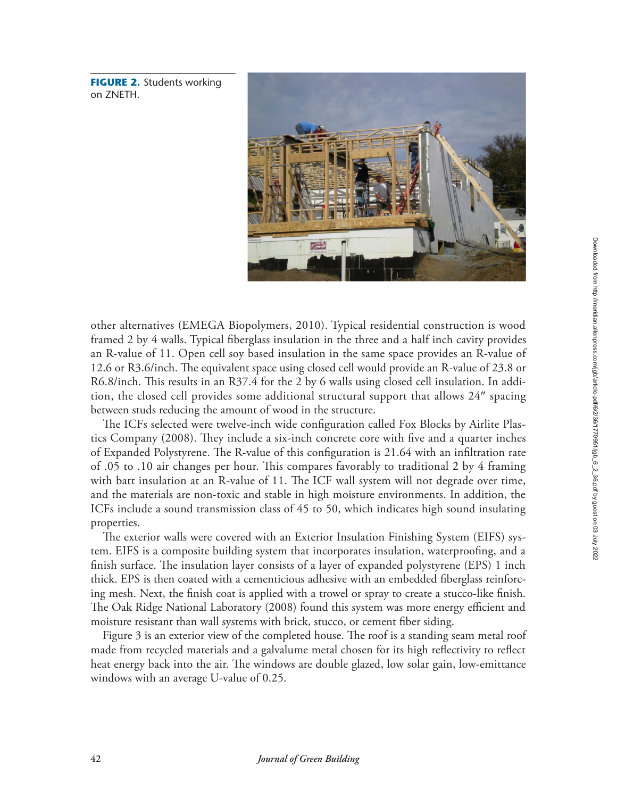**FIGURE 2.** Students working on ZNETH.



other alternatives (EMEGA Biopolymers, 2010). Typical residential construction is wood framed 2 by 4 walls. Typical fiberglass insulation in the three and a half inch cavity provides an R-value of 11. Open cell soy based insulation in the same space provides an R-value of 12.6 or R3.6/inch. The equivalent space using closed cell would provide an R-value of 23.8 or R6.8/inch. This results in an R37.4 for the 2 by 6 walls using closed cell insulation. In addition, the closed cell provides some additional structural support that allows 24″ spacing between studs reducing the amount of wood in the structure.

The ICFs selected were twelve-inch wide configuration called Fox Blocks by Airlite Plastics Company (2008). They include a six-inch concrete core with five and a quarter inches of Expanded Polystyrene. The R-value of this configuration is 21.64 with an infiltration rate of .05 to .10 air changes per hour. This compares favorably to traditional 2 by 4 framing with batt insulation at an R-value of 11. The ICF wall system will not degrade over time, and the materials are non-toxic and stable in high moisture environments. In addition, the ICFs include a sound transmission class of 45 to 50, which indicates high sound insulating properties.

The exterior walls were covered with an Exterior Insulation Finishing System (EIFS) system. EIFS is a composite building system that incorporates insulation, waterproofing, and a finish surface. The insulation layer consists of a layer of expanded polystyrene (EPS) 1 inch thick. EPS is then coated with a cementicious adhesive with an embedded fiberglass reinforcing mesh. Next, the finish coat is applied with a trowel or spray to create a stucco-like finish. The Oak Ridge National Laboratory (2008) found this system was more energy efficient and moisture resistant than wall systems with brick, stucco, or cement fiber siding.

Figure 3 is an exterior view of the completed house. The roof is a standing seam metal roof made from recycled materials and a galvalume metal chosen for its high reflectivity to reflect heat energy back into the air. The windows are double glazed, low solar gain, low-emittance windows with an average U-value of 0.25.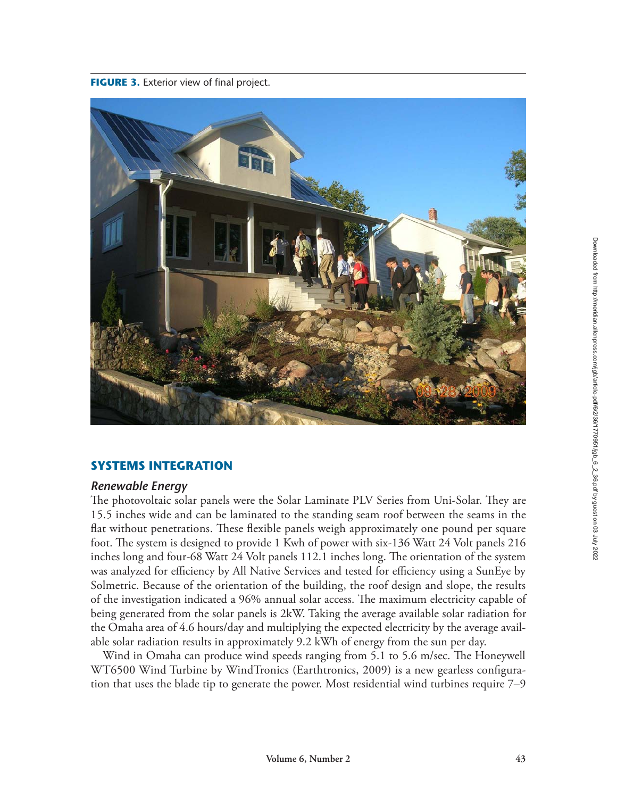

## **SYSTEMS INTEGRATION**

## *Renewable Energy*

The photovoltaic solar panels were the Solar Laminate PLV Series from Uni-Solar. They are 15.5 inches wide and can be laminated to the standing seam roof between the seams in the flat without penetrations. These flexible panels weigh approximately one pound per square foot. The system is designed to provide 1 Kwh of power with six-136 Watt 24 Volt panels 216 inches long and four-68 Watt 24 Volt panels 112.1 inches long. The orientation of the system was analyzed for efficiency by All Native Services and tested for efficiency using a SunEye by Solmetric. Because of the orientation of the building, the roof design and slope, the results of the investigation indicated a 96% annual solar access. The maximum electricity capable of being generated from the solar panels is 2kW. Taking the average available solar radiation for the Omaha area of 4.6 hours/day and multiplying the expected electricity by the average available solar radiation results in approximately 9.2 kWh of energy from the sun per day.

Wind in Omaha can produce wind speeds ranging from 5.1 to 5.6 m/sec. The Honeywell WT6500 Wind Turbine by WindTronics (Earthtronics, 2009) is a new gearless configuration that uses the blade tip to generate the power. Most residential wind turbines require 7–9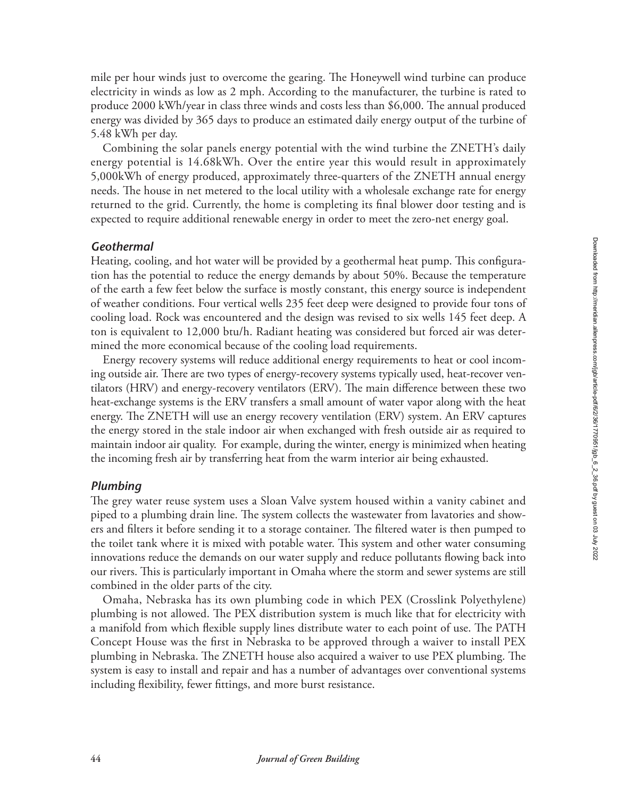mile per hour winds just to overcome the gearing. The Honeywell wind turbine can produce electricity in winds as low as 2 mph. According to the manufacturer, the turbine is rated to produce 2000 kWh/year in class three winds and costs less than \$6,000. The annual produced energy was divided by 365 days to produce an estimated daily energy output of the turbine of 5.48 kWh per day.

Combining the solar panels energy potential with the wind turbine the ZNETH's daily energy potential is 14.68kWh. Over the entire year this would result in approximately 5,000kWh of energy produced, approximately three-quarters of the ZNETH annual energy needs. The house in net metered to the local utility with a wholesale exchange rate for energy returned to the grid. Currently, the home is completing its final blower door testing and is expected to require additional renewable energy in order to meet the zero-net energy goal.

## *Geothermal*

Heating, cooling, and hot water will be provided by a geothermal heat pump. This configuration has the potential to reduce the energy demands by about 50%. Because the temperature of the earth a few feet below the surface is mostly constant, this energy source is independent of weather conditions. Four vertical wells 235 feet deep were designed to provide four tons of cooling load. Rock was encountered and the design was revised to six wells 145 feet deep. A ton is equivalent to 12,000 btu/h. Radiant heating was considered but forced air was determined the more economical because of the cooling load requirements.

Energy recovery systems will reduce additional energy requirements to heat or cool incoming outside air. There are two types of energy-recovery systems typically used, heat-recover ventilators (HRV) and energy-recovery ventilators (ERV). The main difference between these two heat-exchange systems is the ERV transfers a small amount of water vapor along with the heat energy. The ZNETH will use an energy recovery ventilation (ERV) system. An ERV captures the energy stored in the stale indoor air when exchanged with fresh outside air as required to maintain indoor air quality. For example, during the winter, energy is minimized when heating the incoming fresh air by transferring heat from the warm interior air being exhausted.

## *Plumbing*

The grey water reuse system uses a Sloan Valve system housed within a vanity cabinet and piped to a plumbing drain line. The system collects the wastewater from lavatories and showers and filters it before sending it to a storage container. The filtered water is then pumped to the toilet tank where it is mixed with potable water. This system and other water consuming innovations reduce the demands on our water supply and reduce pollutants flowing back into our rivers. This is particularly important in Omaha where the storm and sewer systems are still combined in the older parts of the city.

Omaha, Nebraska has its own plumbing code in which PEX (Crosslink Polyethylene) plumbing is not allowed. The PEX distribution system is much like that for electricity with a manifold from which flexible supply lines distribute water to each point of use. The PATH Concept House was the first in Nebraska to be approved through a waiver to install PEX plumbing in Nebraska. The ZNETH house also acquired a waiver to use PEX plumbing. The system is easy to install and repair and has a number of advantages over conventional systems including flexibility, fewer fittings, and more burst resistance.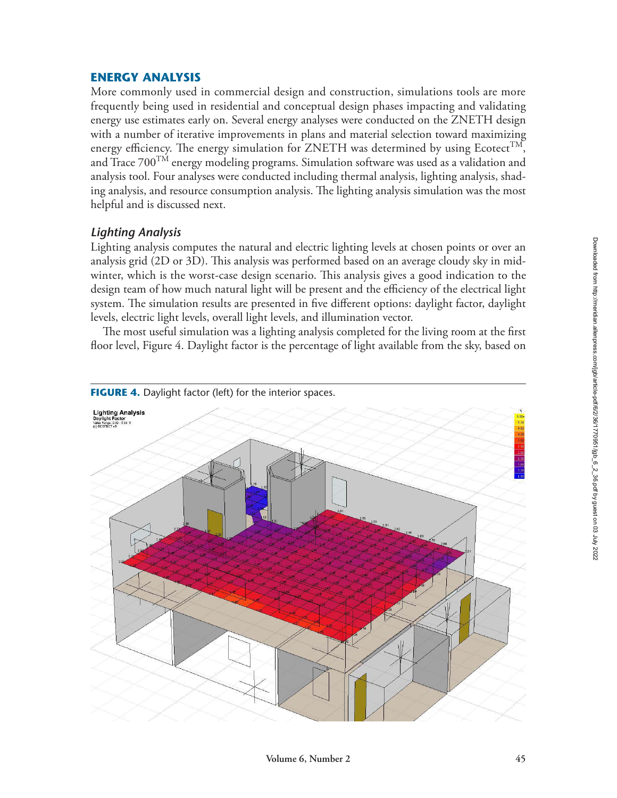## **ENERGY ANALYSIS**

More commonly used in commercial design and construction, simulations tools are more frequently being used in residential and conceptual design phases impacting and validating energy use estimates early on. Several energy analyses were conducted on the ZNETH design with a number of iterative improvements in plans and material selection toward maximizing energy efficiency. The energy simulation for ZNETH was determined by using Ecotect<sup>TM</sup>, and Trace  $700^{TM}$  energy modeling programs. Simulation software was used as a validation and analysis tool. Four analyses were conducted including thermal analysis, lighting analysis, shading analysis, and resource consumption analysis. The lighting analysis simulation was the most helpful and is discussed next.

## *Lighting Analysis*

Lighting analysis computes the natural and electric lighting levels at chosen points or over an analysis grid (2D or 3D). This analysis was performed based on an average cloudy sky in midwinter, which is the worst-case design scenario. This analysis gives a good indication to the design team of how much natural light will be present and the efficiency of the electrical light system. The simulation results are presented in five different options: daylight factor, daylight levels, electric light levels, overall light levels, and illumination vector.

The most useful simulation was a lighting analysis completed for the living room at the first floor level, Figure 4. Daylight factor is the percentage of light available from the sky, based on

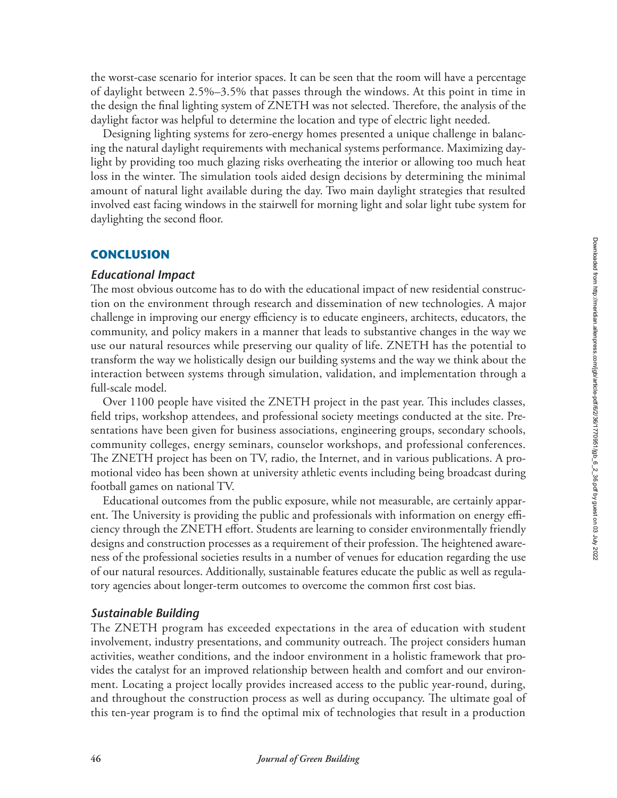the worst-case scenario for interior spaces. It can be seen that the room will have a percentage of daylight between 2.5%–3.5% that passes through the windows. At this point in time in the design the final lighting system of ZNETH was not selected. Therefore, the analysis of the daylight factor was helpful to determine the location and type of electric light needed.

Designing lighting systems for zero-energy homes presented a unique challenge in balancing the natural daylight requirements with mechanical systems performance. Maximizing daylight by providing too much glazing risks overheating the interior or allowing too much heat loss in the winter. The simulation tools aided design decisions by determining the minimal amount of natural light available during the day. Two main daylight strategies that resulted involved east facing windows in the stairwell for morning light and solar light tube system for daylighting the second floor.

### **CONCLUSION**

#### *Educational Impact*

The most obvious outcome has to do with the educational impact of new residential construction on the environment through research and dissemination of new technologies. A major challenge in improving our energy efficiency is to educate engineers, architects, educators, the community, and policy makers in a manner that leads to substantive changes in the way we use our natural resources while preserving our quality of life. ZNETH has the potential to transform the way we holistically design our building systems and the way we think about the interaction between systems through simulation, validation, and implementation through a full-scale model.

Over 1100 people have visited the ZNETH project in the past year. This includes classes, field trips, workshop attendees, and professional society meetings conducted at the site. Presentations have been given for business associations, engineering groups, secondary schools, community colleges, energy seminars, counselor workshops, and professional conferences. The ZNETH project has been on TV, radio, the Internet, and in various publications. A promotional video has been shown at university athletic events including being broadcast during football games on national TV.

Educational outcomes from the public exposure, while not measurable, are certainly apparent. The University is providing the public and professionals with information on energy efficiency through the ZNETH effort. Students are learning to consider environmentally friendly designs and construction processes as a requirement of their profession. The heightened awareness of the professional societies results in a number of venues for education regarding the use of our natural resources. Additionally, sustainable features educate the public as well as regulatory agencies about longer-term outcomes to overcome the common first cost bias.

#### *Sustainable Building*

The ZNETH program has exceeded expectations in the area of education with student involvement, industry presentations, and community outreach. The project considers human activities, weather conditions, and the indoor environment in a holistic framework that provides the catalyst for an improved relationship between health and comfort and our environment. Locating a project locally provides increased access to the public year-round, during, and throughout the construction process as well as during occupancy. The ultimate goal of this ten-year program is to find the optimal mix of technologies that result in a production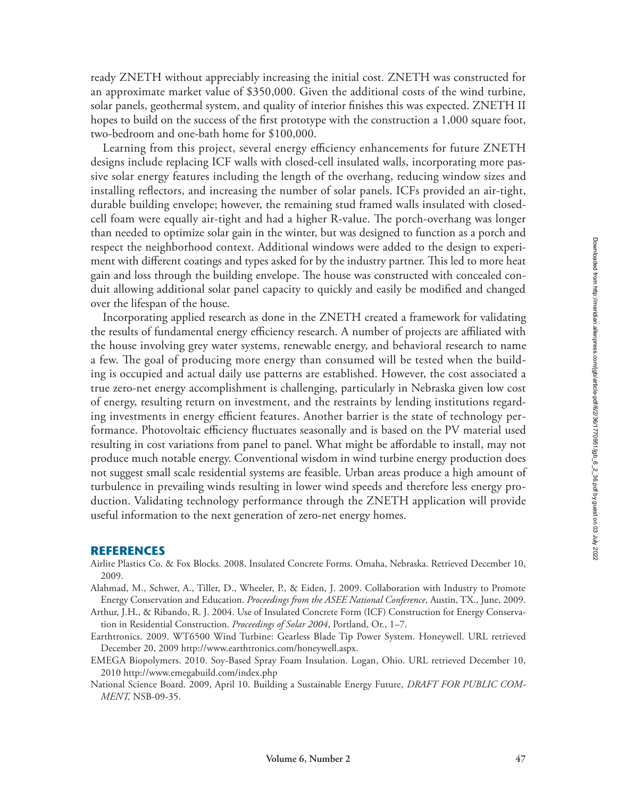ready ZNETH without appreciably increasing the initial cost. ZNETH was constructed for an approximate market value of \$350,000. Given the additional costs of the wind turbine, solar panels, geothermal system, and quality of interior finishes this was expected. ZNETH II hopes to build on the success of the first prototype with the construction a 1,000 square foot, two-bedroom and one-bath home for \$100,000.

Learning from this project, several energy efficiency enhancements for future ZNETH designs include replacing ICF walls with closed-cell insulated walls, incorporating more passive solar energy features including the length of the overhang, reducing window sizes and installing reflectors, and increasing the number of solar panels. ICFs provided an air-tight, durable building envelope; however, the remaining stud framed walls insulated with closedcell foam were equally air-tight and had a higher R-value. The porch-overhang was longer than needed to optimize solar gain in the winter, but was designed to function as a porch and respect the neighborhood context. Additional windows were added to the design to experiment with different coatings and types asked for by the industry partner. This led to more heat gain and loss through the building envelope. The house was constructed with concealed conduit allowing additional solar panel capacity to quickly and easily be modified and changed over the lifespan of the house.

Incorporating applied research as done in the ZNETH created a framework for validating the results of fundamental energy efficiency research. A number of projects are affiliated with the house involving grey water systems, renewable energy, and behavioral research to name a few. The goal of producing more energy than consumed will be tested when the building is occupied and actual daily use patterns are established. However, the cost associated a true zero-net energy accomplishment is challenging, particularly in Nebraska given low cost of energy, resulting return on investment, and the restraints by lending institutions regarding investments in energy efficient features. Another barrier is the state of technology performance. Photovoltaic efficiency fluctuates seasonally and is based on the PV material used resulting in cost variations from panel to panel. What might be affordable to install, may not produce much notable energy. Conventional wisdom in wind turbine energy production does not suggest small scale residential systems are feasible. Urban areas produce a high amount of turbulence in prevailing winds resulting in lower wind speeds and therefore less energy production. Validating technology performance through the ZNETH application will provide useful information to the next generation of zero-net energy homes.

#### **REFERENCES**

- Airlite Plastics Co. & Fox Blocks. 2008. Insulated Concrete Forms. Omaha, Nebraska. Retrieved December 10, 2009.
- Alahmad, M., Schwer, A., Tiller, D., Wheeler, P., & Eiden, J. 2009. Collaboration with Industry to Promote Energy Conservation and Education. *Proceedings from the ASEE National Conference*, Austin, TX., June, 2009.
- Arthur, J.H., & Ribando, R. J. 2004. Use of Insulated Concrete Form (ICF) Construction for Energy Conservation in Residential Construction. *Proceedings of Solar 2004*, Portland, Or., 1–7.
- Earthtronics. 2009. WT6500 Wind Turbine: Gearless Blade Tip Power System. Honeywell. URL retrieved December 20, 2009 http://www.earthtronics.com/honeywell.aspx.
- EMEGA Biopolymers. 2010. Soy-Based Spray Foam Insulation. Logan, Ohio. URL retrieved December 10, 2010 http://www.emegabuild.com/index.php
- National Science Board. 2009, April 10. Building a Sustainable Energy Future, *DRAFT FOR PUBLIC COM-MENT,* NSB-09-35.